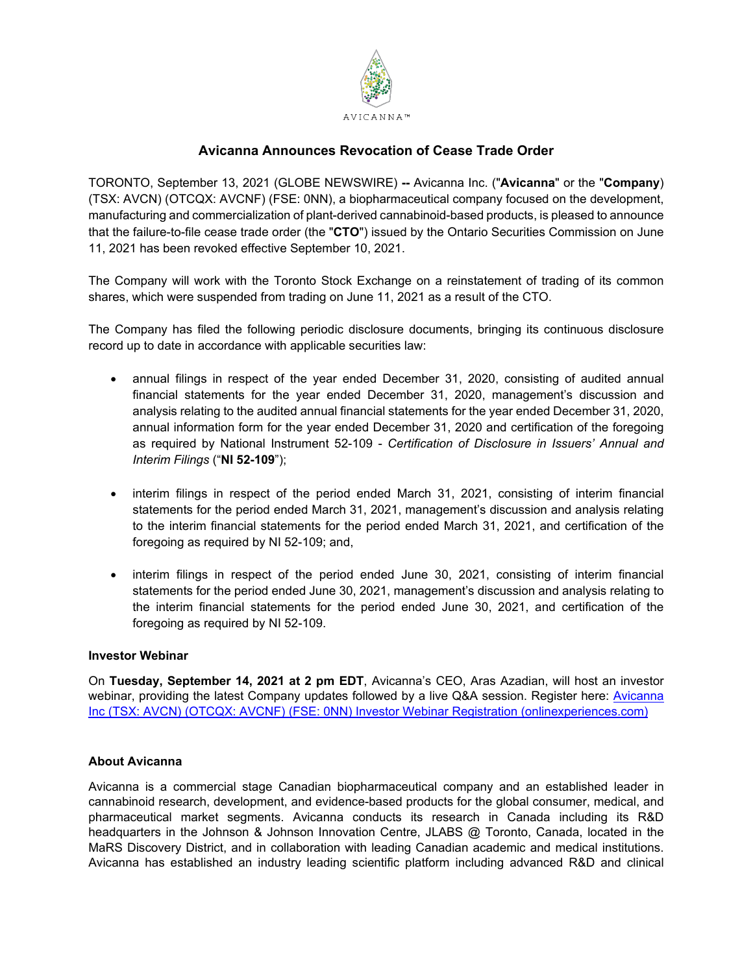

# **Avicanna Announces Revocation of Cease Trade Order**

TORONTO, September 13, 2021 (GLOBE NEWSWIRE) **--** Avicanna Inc. ("**Avicanna**" or the "**Company**) (TSX: AVCN) (OTCQX: AVCNF) (FSE: 0NN), a biopharmaceutical company focused on the development, manufacturing and commercialization of plant-derived cannabinoid-based products, is pleased to announce that the failure-to-file cease trade order (the "**CTO**") issued by the Ontario Securities Commission on June 11, 2021 has been revoked effective September 10, 2021.

The Company will work with the Toronto Stock Exchange on a reinstatement of trading of its common shares, which were suspended from trading on June 11, 2021 as a result of the CTO.

The Company has filed the following periodic disclosure documents, bringing its continuous disclosure record up to date in accordance with applicable securities law:

- annual filings in respect of the year ended December 31, 2020, consisting of audited annual financial statements for the year ended December 31, 2020, management's discussion and analysis relating to the audited annual financial statements for the year ended December 31, 2020, annual information form for the year ended December 31, 2020 and certification of the foregoing as required by National Instrument 52-109 - *Certification of Disclosure in Issuers' Annual and Interim Filings* ("**NI 52-109**");
- interim filings in respect of the period ended March 31, 2021, consisting of interim financial statements for the period ended March 31, 2021, management's discussion and analysis relating to the interim financial statements for the period ended March 31, 2021, and certification of the foregoing as required by NI 52-109; and,
- interim filings in respect of the period ended June 30, 2021, consisting of interim financial statements for the period ended June 30, 2021, management's discussion and analysis relating to the interim financial statements for the period ended June 30, 2021, and certification of the foregoing as required by NI 52-109.

## **Investor Webinar**

On **Tuesday, September 14, 2021 at 2 pm EDT**, Avicanna's CEO, Aras Azadian, will host an investor webinar, providing the latest Company updates followed by a live Q&A session. Register here: **Avicanna** [Inc \(TSX: AVCN\) \(OTCQX: AVCNF\) \(FSE: 0NN\) Investor Webinar Registration \(onlinexperiences.com\)](https://onlinexperiences.com/scripts/Server.nxp?LASCmd=AI:4;F:QS!10100&ShowUUID=A2CAC595-4C39-4C9E-8FE8-9F0EE6F3217C)

## **About Avicanna**

Avicanna is a commercial stage Canadian biopharmaceutical company and an established leader in cannabinoid research, development, and evidence-based products for the global consumer, medical, and pharmaceutical market segments. Avicanna conducts its research in Canada including its R&D headquarters in the Johnson & Johnson Innovation Centre, JLABS @ Toronto, Canada, located in the MaRS Discovery District, and in collaboration with leading Canadian academic and medical institutions. Avicanna has established an industry leading scientific platform including advanced R&D and clinical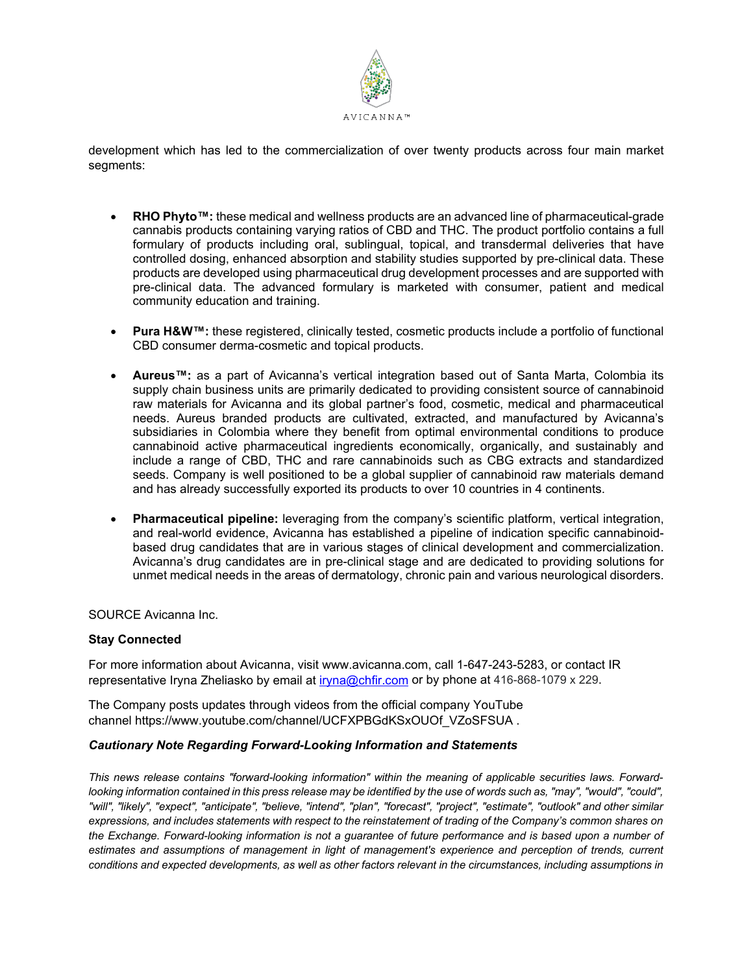

development which has led to the commercialization of over twenty products across four main market segments:

- **RHO Phyto™:** these medical and wellness products are an advanced line of pharmaceutical-grade cannabis products containing varying ratios of CBD and THC. The product portfolio contains a full formulary of products including oral, sublingual, topical, and transdermal deliveries that have controlled dosing, enhanced absorption and stability studies supported by pre-clinical data. These products are developed using pharmaceutical drug development processes and are supported with pre-clinical data. The advanced formulary is marketed with consumer, patient and medical community education and training.
- **Pura H&W™:** these registered, clinically tested, cosmetic products include a portfolio of functional CBD consumer derma-cosmetic and topical products.
- **Aureus™:** as a part of Avicanna's vertical integration based out of Santa Marta, Colombia its supply chain business units are primarily dedicated to providing consistent source of cannabinoid raw materials for Avicanna and its global partner's food, cosmetic, medical and pharmaceutical needs. Aureus branded products are cultivated, extracted, and manufactured by Avicanna's subsidiaries in Colombia where they benefit from optimal environmental conditions to produce cannabinoid active pharmaceutical ingredients economically, organically, and sustainably and include a range of CBD, THC and rare cannabinoids such as CBG extracts and standardized seeds. Company is well positioned to be a global supplier of cannabinoid raw materials demand and has already successfully exported its products to over 10 countries in 4 continents.
- **Pharmaceutical pipeline:** leveraging from the company's scientific platform, vertical integration, and real-world evidence, Avicanna has established a pipeline of indication specific cannabinoidbased drug candidates that are in various stages of clinical development and commercialization. Avicanna's drug candidates are in pre-clinical stage and are dedicated to providing solutions for unmet medical needs in the areas of dermatology, chronic pain and various neurological disorders.

SOURCE Avicanna Inc.

## **Stay Connected**

For more information about Avicanna, visit www.avicanna.com, call 1-647-243-5283, or contact IR representative Iryna Zheliasko by email at [iryna@chfir.com](mailto:iryna@chfir.com) or by phone at 416-868-1079 x 229.

The Company posts updates through videos from the official company YouTube channel https://www.youtube.com/channel/UCFXPBGdKSxOUOf\_VZoSFSUA .

## *Cautionary Note Regarding Forward-Looking Information and Statements*

*This news release contains "forward-looking information" within the meaning of applicable securities laws. Forward*looking information contained in this press release may be identified by the use of words such as, "may", "would", "could", *"will", "likely", "expect", "anticipate", "believe, "intend", "plan", "forecast", "project", "estimate", "outlook" and other similar expressions, and includes statements with respect to the reinstatement of trading of the Company's common shares on the Exchange. Forward-looking information is not a guarantee of future performance and is based upon a number of estimates and assumptions of management in light of management's experience and perception of trends, current conditions and expected developments, as well as other factors relevant in the circumstances, including assumptions in*